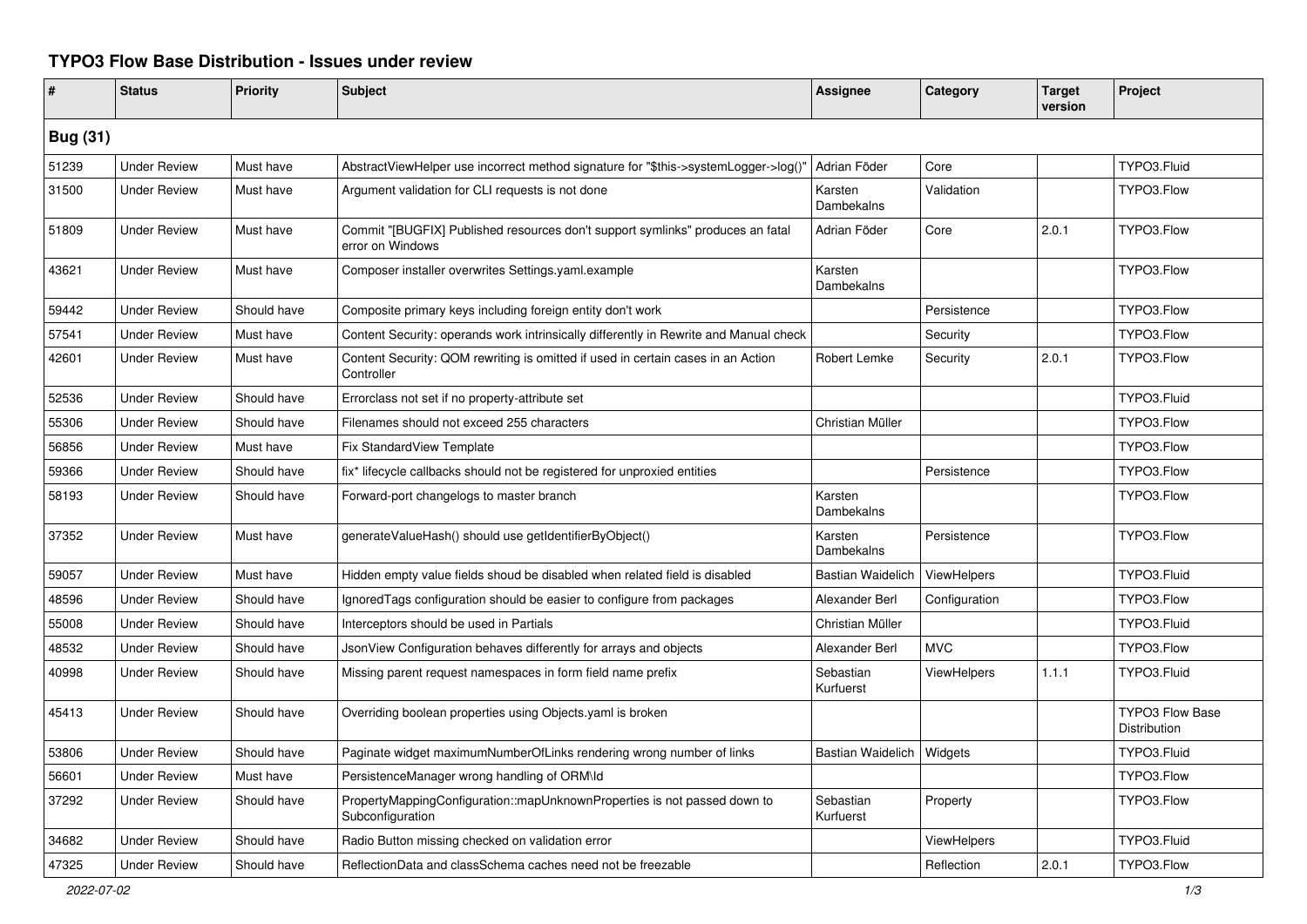## **TYPO3 Flow Base Distribution - Issues under review**

| #               | <b>Status</b>       | <b>Priority</b> | <b>Subject</b>                                                                                     | <b>Assignee</b>              | Category           | <b>Target</b><br>version | Project                         |  |
|-----------------|---------------------|-----------------|----------------------------------------------------------------------------------------------------|------------------------------|--------------------|--------------------------|---------------------------------|--|
| <b>Bug (31)</b> |                     |                 |                                                                                                    |                              |                    |                          |                                 |  |
| 51239           | <b>Under Review</b> | Must have       | AbstractViewHelper use incorrect method signature for "\$this->systemLogger->log()"                | Adrian Föder                 | Core               |                          | TYPO3.Fluid                     |  |
| 31500           | <b>Under Review</b> | Must have       | Argument validation for CLI requests is not done                                                   | Karsten<br>Dambekalns        | Validation         |                          | TYPO3.Flow                      |  |
| 51809           | <b>Under Review</b> | Must have       | Commit "[BUGFIX] Published resources don't support symlinks" produces an fatal<br>error on Windows | Adrian Föder                 | Core               | 2.0.1                    | TYPO3.Flow                      |  |
| 43621           | <b>Under Review</b> | Must have       | Composer installer overwrites Settings.yaml.example                                                | Karsten<br>Dambekalns        |                    |                          | TYPO3.Flow                      |  |
| 59442           | <b>Under Review</b> | Should have     | Composite primary keys including foreign entity don't work                                         |                              | Persistence        |                          | TYPO3.Flow                      |  |
| 57541           | <b>Under Review</b> | Must have       | Content Security: operands work intrinsically differently in Rewrite and Manual check              |                              | Security           |                          | TYPO3.Flow                      |  |
| 42601           | <b>Under Review</b> | Must have       | Content Security: QOM rewriting is omitted if used in certain cases in an Action<br>Controller     | Robert Lemke                 | Security           | 2.0.1                    | TYPO3.Flow                      |  |
| 52536           | <b>Under Review</b> | Should have     | Errorclass not set if no property-attribute set                                                    |                              |                    |                          | TYPO3.Fluid                     |  |
| 55306           | <b>Under Review</b> | Should have     | Filenames should not exceed 255 characters                                                         | Christian Müller             |                    |                          | TYPO3.Flow                      |  |
| 56856           | <b>Under Review</b> | Must have       | Fix StandardView Template                                                                          |                              |                    |                          | TYPO3.Flow                      |  |
| 59366           | <b>Under Review</b> | Should have     | fix* lifecycle callbacks should not be registered for unproxied entities                           |                              | Persistence        |                          | TYPO3.Flow                      |  |
| 58193           | <b>Under Review</b> | Should have     | Forward-port changelogs to master branch                                                           | Karsten<br>Dambekalns        |                    |                          | TYPO3.Flow                      |  |
| 37352           | <b>Under Review</b> | Must have       | generateValueHash() should use getIdentifierByObject()                                             | Karsten<br><b>Dambekalns</b> | Persistence        |                          | TYPO3.Flow                      |  |
| 59057           | <b>Under Review</b> | Must have       | Hidden empty value fields shoud be disabled when related field is disabled                         | Bastian Waidelich            | ViewHelpers        |                          | TYPO3.Fluid                     |  |
| 48596           | <b>Under Review</b> | Should have     | IgnoredTags configuration should be easier to configure from packages                              | Alexander Berl               | Configuration      |                          | TYPO3.Flow                      |  |
| 55008           | <b>Under Review</b> | Should have     | Interceptors should be used in Partials                                                            | Christian Müller             |                    |                          | TYPO3.Fluid                     |  |
| 48532           | <b>Under Review</b> | Should have     | JsonView Configuration behaves differently for arrays and objects                                  | Alexander Berl               | <b>MVC</b>         |                          | TYPO3.Flow                      |  |
| 40998           | <b>Under Review</b> | Should have     | Missing parent request namespaces in form field name prefix                                        | Sebastian<br>Kurfuerst       | <b>ViewHelpers</b> | 1.1.1                    | TYPO3.Fluid                     |  |
| 45413           | <b>Under Review</b> | Should have     | Overriding boolean properties using Objects yaml is broken                                         |                              |                    |                          | TYPO3 Flow Base<br>Distribution |  |
| 53806           | <b>Under Review</b> | Should have     | Paginate widget maximumNumberOfLinks rendering wrong number of links                               | Bastian Waidelich            | <b>Widgets</b>     |                          | TYPO3.Fluid                     |  |
| 56601           | <b>Under Review</b> | Must have       | PersistenceManager wrong handling of ORM\ld                                                        |                              |                    |                          | TYPO3.Flow                      |  |
| 37292           | <b>Under Review</b> | Should have     | PropertyMappingConfiguration::mapUnknownProperties is not passed down to<br>Subconfiguration       | Sebastian<br>Kurfuerst       | Property           |                          | TYPO3.Flow                      |  |
| 34682           | <b>Under Review</b> | Should have     | Radio Button missing checked on validation error                                                   |                              | <b>ViewHelpers</b> |                          | TYPO3.Fluid                     |  |
| 47325           | <b>Under Review</b> | Should have     | ReflectionData and classSchema caches need not be freezable                                        |                              | Reflection         | 2.0.1                    | TYPO3.Flow                      |  |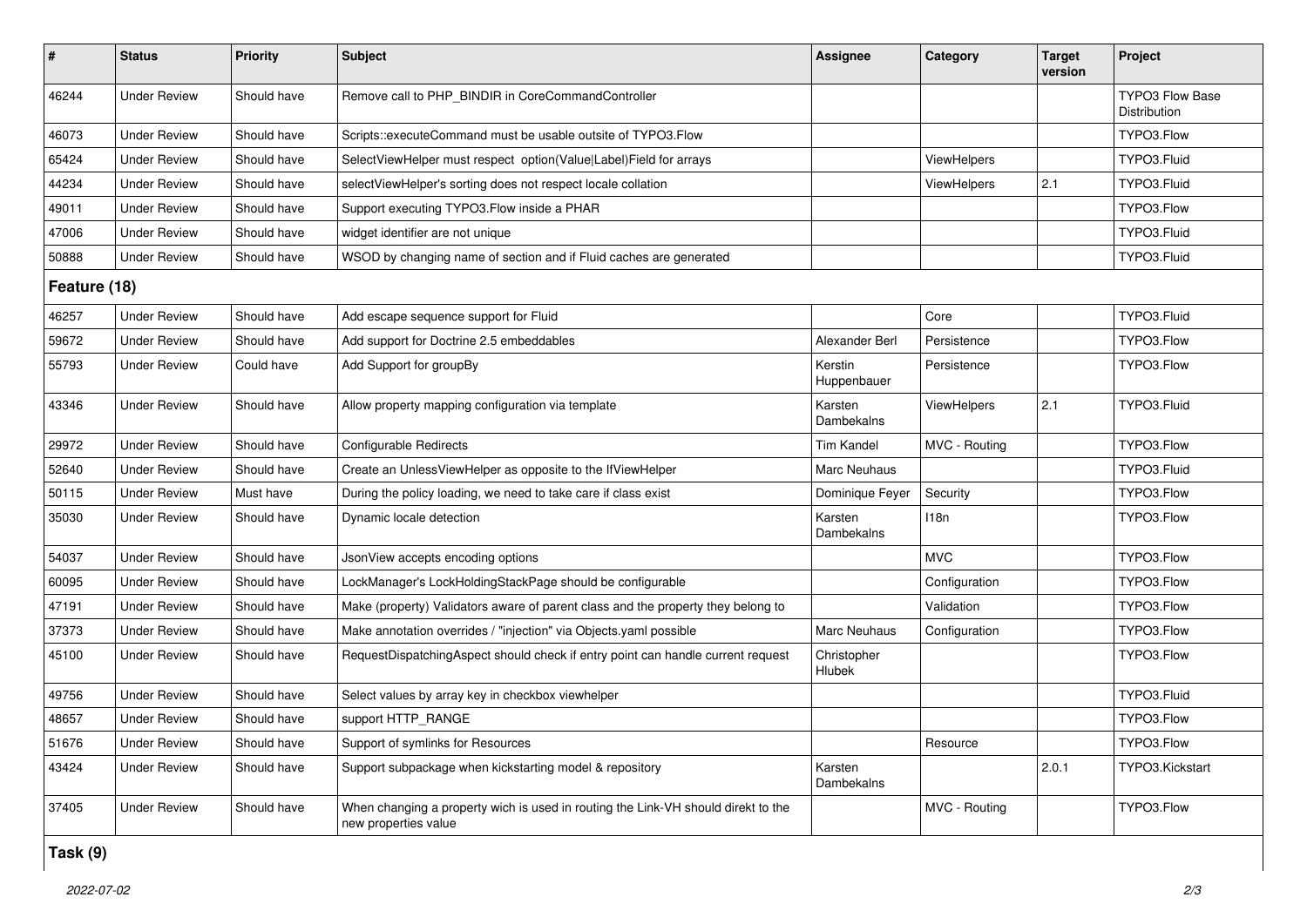| $\#$         | <b>Status</b>       | <b>Priority</b> | <b>Subject</b>                                                                                            | <b>Assignee</b>        | Category           | <b>Target</b><br>version | Project                                |  |  |
|--------------|---------------------|-----------------|-----------------------------------------------------------------------------------------------------------|------------------------|--------------------|--------------------------|----------------------------------------|--|--|
| 46244        | <b>Under Review</b> | Should have     | Remove call to PHP BINDIR in CoreCommandController                                                        |                        |                    |                          | <b>TYPO3 Flow Base</b><br>Distribution |  |  |
| 46073        | <b>Under Review</b> | Should have     | Scripts::executeCommand must be usable outsite of TYPO3.Flow                                              |                        |                    |                          | TYPO3.Flow                             |  |  |
| 65424        | <b>Under Review</b> | Should have     | SelectViewHelper must respect option(Value Label)Field for arrays                                         |                        | <b>ViewHelpers</b> |                          | TYPO3.Fluid                            |  |  |
| 44234        | <b>Under Review</b> | Should have     | selectViewHelper's sorting does not respect locale collation                                              |                        | ViewHelpers        | 2.1                      | TYPO3.Fluid                            |  |  |
| 49011        | <b>Under Review</b> | Should have     | Support executing TYPO3.Flow inside a PHAR                                                                |                        |                    |                          | TYPO3.Flow                             |  |  |
| 47006        | <b>Under Review</b> | Should have     | widget identifier are not unique                                                                          |                        |                    |                          | TYPO3.Fluid                            |  |  |
| 50888        | <b>Under Review</b> | Should have     | WSOD by changing name of section and if Fluid caches are generated                                        |                        |                    |                          | TYPO3.Fluid                            |  |  |
| Feature (18) |                     |                 |                                                                                                           |                        |                    |                          |                                        |  |  |
| 46257        | <b>Under Review</b> | Should have     | Add escape sequence support for Fluid                                                                     |                        | Core               |                          | TYPO3.Fluid                            |  |  |
| 59672        | <b>Under Review</b> | Should have     | Add support for Doctrine 2.5 embeddables                                                                  | Alexander Berl         | Persistence        |                          | TYPO3.Flow                             |  |  |
| 55793        | <b>Under Review</b> | Could have      | Add Support for groupBy                                                                                   | Kerstin<br>Huppenbauer | Persistence        |                          | TYPO3.Flow                             |  |  |
| 43346        | <b>Under Review</b> | Should have     | Allow property mapping configuration via template                                                         | Karsten<br>Dambekalns  | <b>ViewHelpers</b> | 2.1                      | TYPO3.Fluid                            |  |  |
| 29972        | <b>Under Review</b> | Should have     | <b>Configurable Redirects</b>                                                                             | <b>Tim Kandel</b>      | MVC - Routing      |                          | TYPO3.Flow                             |  |  |
| 52640        | <b>Under Review</b> | Should have     | Create an UnlessViewHelper as opposite to the IfViewHelper                                                | Marc Neuhaus           |                    |                          | TYPO3.Fluid                            |  |  |
| 50115        | <b>Under Review</b> | Must have       | During the policy loading, we need to take care if class exist                                            | Dominique Feyer        | Security           |                          | TYPO3.Flow                             |  |  |
| 35030        | <b>Under Review</b> | Should have     | Dynamic locale detection                                                                                  | Karsten<br>Dambekalns  | 118n               |                          | TYPO3.Flow                             |  |  |
| 54037        | <b>Under Review</b> | Should have     | JsonView accepts encoding options                                                                         |                        | <b>MVC</b>         |                          | TYPO3.Flow                             |  |  |
| 60095        | <b>Under Review</b> | Should have     | LockManager's LockHoldingStackPage should be configurable                                                 |                        | Configuration      |                          | TYPO3.Flow                             |  |  |
| 47191        | <b>Under Review</b> | Should have     | Make (property) Validators aware of parent class and the property they belong to                          |                        | Validation         |                          | TYPO3.Flow                             |  |  |
| 37373        | <b>Under Review</b> | Should have     | Make annotation overrides / "injection" via Objects.yaml possible                                         | <b>Marc Neuhaus</b>    | Configuration      |                          | TYPO3.Flow                             |  |  |
| 45100        | <b>Under Review</b> | Should have     | RequestDispatchingAspect should check if entry point can handle current request                           | Christopher<br>Hlubek  |                    |                          | TYPO3.Flow                             |  |  |
| 49756        | <b>Under Review</b> | Should have     | Select values by array key in checkbox viewhelper                                                         |                        |                    |                          | TYPO3.Fluid                            |  |  |
| 48657        | <b>Under Review</b> | Should have     | support HTTP_RANGE                                                                                        |                        |                    |                          | TYPO3.Flow                             |  |  |
| 51676        | <b>Under Review</b> | Should have     | Support of symlinks for Resources                                                                         |                        | Resource           |                          | TYPO3.Flow                             |  |  |
| 43424        | <b>Under Review</b> | Should have     | Support subpackage when kickstarting model & repository                                                   | Karsten<br>Dambekalns  |                    | 2.0.1                    | TYPO3.Kickstart                        |  |  |
| 37405        | <b>Under Review</b> | Should have     | When changing a property wich is used in routing the Link-VH should direkt to the<br>new properties value |                        | MVC - Routing      |                          | TYPO3.Flow                             |  |  |

## **Task (9)**